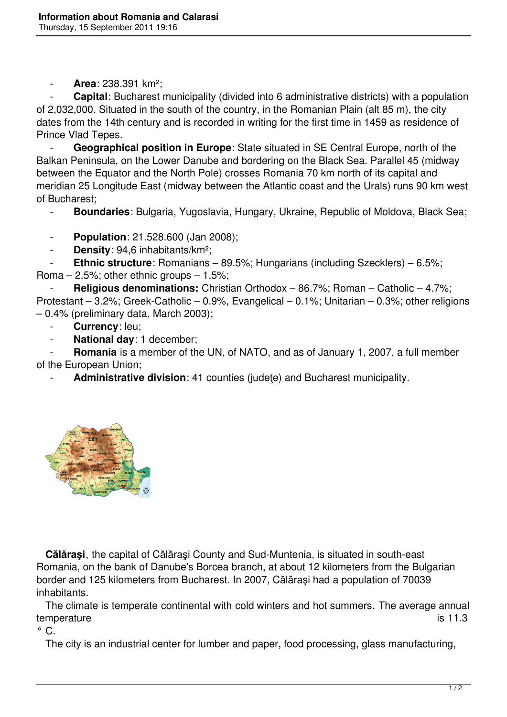- **Area**: 238.391 km²;

**Capital**: Bucharest municipality (divided into 6 administrative districts) with a population of 2,032,000. Situated in the south of the country, in the Romanian Plain (alt 85 m), the city dates from the 14th century and is recorded in writing for the first time in 1459 as residence of Prince Vlad Tepes.

 - **Geographical position in Europe**: State situated in SE Central Europe, north of the Balkan Peninsula, on the Lower Danube and bordering on the Black Sea. Parallel 45 (midway between the Equator and the North Pole) crosses Romania 70 km north of its capital and meridian 25 Longitude East (midway between the Atlantic coast and the Urals) runs 90 km west of Bucharest;

- **Boundaries**: Bulgaria, Yugoslavia, Hungary, Ukraine, Republic of Moldova, Black Sea;
- **Population**: 21.528.600 (Jan 2008);
- **Density**: 94,6 inhabitants/km²;

**Ethnic structure**: Romanians – 89.5%; Hungarians (including Szecklers) – 6.5%; Roma  $-2.5\%$ ; other ethnic groups  $-1.5\%$ ;

 - **Religious denominations:** Christian Orthodox – 86.7%; Roman – Catholic – 4.7%; Protestant – 3.2%; Greek-Catholic – 0.9%, Evangelical – 0.1%; Unitarian – 0.3%; other religions – 0.4% (preliminary data, March 2003);

- Currency: leu;
- **National day**: 1 december;

**Romania** is a member of the UN, of NATO, and as of January 1, 2007, a full member of the European Union;

Administrative division: 41 counties (judete) and Bucharest municipality.



 **Călăraşi**, the capital of Călăraşi County and Sud-Muntenia, is situated in south-east Romania, on the bank of Danube's Borcea branch, at about 12 kilometers from the Bulgarian border and 125 kilometers from Bucharest. In 2007, Călăraşi had a population of 70039 inhabitants.

 The climate is temperate continental with cold winters and hot summers. The average annual temperature is 11.3

 $\circ$  C.

The city is an industrial center for lumber and paper, food processing, glass manufacturing,